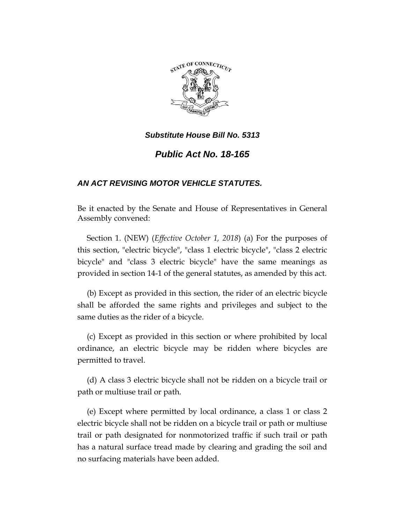

# *Public Act No. 18-165*

# *AN ACT REVISING MOTOR VEHICLE STATUTES.*

Be it enacted by the Senate and House of Representatives in General Assembly convened:

Section 1. (NEW) (*Effective October 1, 2018*) (a) For the purposes of this section, "electric bicycle", "class 1 electric bicycle", "class 2 electric bicycle" and "class 3 electric bicycle" have the same meanings as provided in section 14-1 of the general statutes, as amended by this act.

(b) Except as provided in this section, the rider of an electric bicycle shall be afforded the same rights and privileges and subject to the same duties as the rider of a bicycle.

(c) Except as provided in this section or where prohibited by local ordinance, an electric bicycle may be ridden where bicycles are permitted to travel.

(d) A class 3 electric bicycle shall not be ridden on a bicycle trail or path or multiuse trail or path.

(e) Except where permitted by local ordinance, a class 1 or class 2 electric bicycle shall not be ridden on a bicycle trail or path or multiuse trail or path designated for nonmotorized traffic if such trail or path has a natural surface tread made by clearing and grading the soil and no surfacing materials have been added.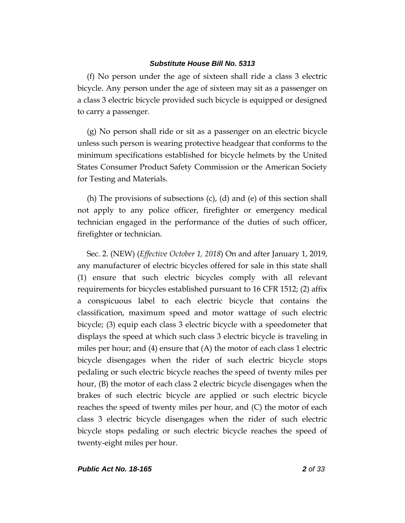(f) No person under the age of sixteen shall ride a class 3 electric bicycle. Any person under the age of sixteen may sit as a passenger on a class 3 electric bicycle provided such bicycle is equipped or designed to carry a passenger.

(g) No person shall ride or sit as a passenger on an electric bicycle unless such person is wearing protective headgear that conforms to the minimum specifications established for bicycle helmets by the United States Consumer Product Safety Commission or the American Society for Testing and Materials.

(h) The provisions of subsections (c), (d) and (e) of this section shall not apply to any police officer, firefighter or emergency medical technician engaged in the performance of the duties of such officer, firefighter or technician.

Sec. 2. (NEW) (*Effective October 1, 2018*) On and after January 1, 2019, any manufacturer of electric bicycles offered for sale in this state shall (1) ensure that such electric bicycles comply with all relevant requirements for bicycles established pursuant to 16 CFR 1512; (2) affix a conspicuous label to each electric bicycle that contains the classification, maximum speed and motor wattage of such electric bicycle; (3) equip each class 3 electric bicycle with a speedometer that displays the speed at which such class 3 electric bicycle is traveling in miles per hour; and (4) ensure that (A) the motor of each class 1 electric bicycle disengages when the rider of such electric bicycle stops pedaling or such electric bicycle reaches the speed of twenty miles per hour, (B) the motor of each class 2 electric bicycle disengages when the brakes of such electric bicycle are applied or such electric bicycle reaches the speed of twenty miles per hour, and (C) the motor of each class 3 electric bicycle disengages when the rider of such electric bicycle stops pedaling or such electric bicycle reaches the speed of twenty-eight miles per hour.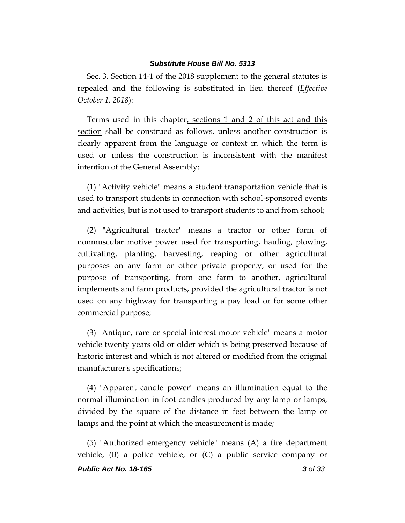Sec. 3. Section 14-1 of the 2018 supplement to the general statutes is repealed and the following is substituted in lieu thereof (*Effective October 1, 2018*):

Terms used in this chapter, sections 1 and 2 of this act and this section shall be construed as follows, unless another construction is clearly apparent from the language or context in which the term is used or unless the construction is inconsistent with the manifest intention of the General Assembly:

(1) "Activity vehicle" means a student transportation vehicle that is used to transport students in connection with school-sponsored events and activities, but is not used to transport students to and from school;

(2) "Agricultural tractor" means a tractor or other form of nonmuscular motive power used for transporting, hauling, plowing, cultivating, planting, harvesting, reaping or other agricultural purposes on any farm or other private property, or used for the purpose of transporting, from one farm to another, agricultural implements and farm products, provided the agricultural tractor is not used on any highway for transporting a pay load or for some other commercial purpose;

(3) "Antique, rare or special interest motor vehicle" means a motor vehicle twenty years old or older which is being preserved because of historic interest and which is not altered or modified from the original manufacturer's specifications;

(4) "Apparent candle power" means an illumination equal to the normal illumination in foot candles produced by any lamp or lamps, divided by the square of the distance in feet between the lamp or lamps and the point at which the measurement is made;

*Public Act No. 18-165 3 of 33* (5) "Authorized emergency vehicle" means (A) a fire department vehicle, (B) a police vehicle, or (C) a public service company or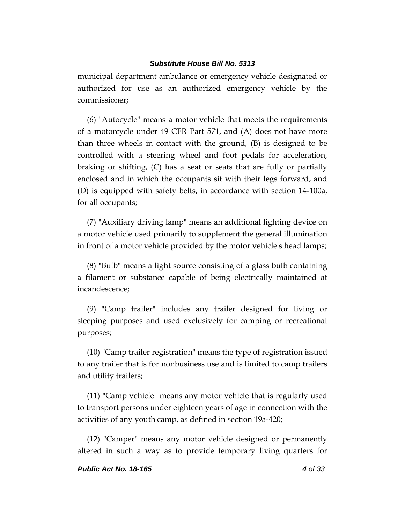municipal department ambulance or emergency vehicle designated or authorized for use as an authorized emergency vehicle by the commissioner;

(6) "Autocycle" means a motor vehicle that meets the requirements of a motorcycle under 49 CFR Part 571, and (A) does not have more than three wheels in contact with the ground, (B) is designed to be controlled with a steering wheel and foot pedals for acceleration, braking or shifting, (C) has a seat or seats that are fully or partially enclosed and in which the occupants sit with their legs forward, and (D) is equipped with safety belts, in accordance with section 14-100a, for all occupants;

(7) "Auxiliary driving lamp" means an additional lighting device on a motor vehicle used primarily to supplement the general illumination in front of a motor vehicle provided by the motor vehicle's head lamps;

(8) "Bulb" means a light source consisting of a glass bulb containing a filament or substance capable of being electrically maintained at incandescence;

(9) "Camp trailer" includes any trailer designed for living or sleeping purposes and used exclusively for camping or recreational purposes;

(10) "Camp trailer registration" means the type of registration issued to any trailer that is for nonbusiness use and is limited to camp trailers and utility trailers;

(11) "Camp vehicle" means any motor vehicle that is regularly used to transport persons under eighteen years of age in connection with the activities of any youth camp, as defined in section 19a-420;

(12) "Camper" means any motor vehicle designed or permanently altered in such a way as to provide temporary living quarters for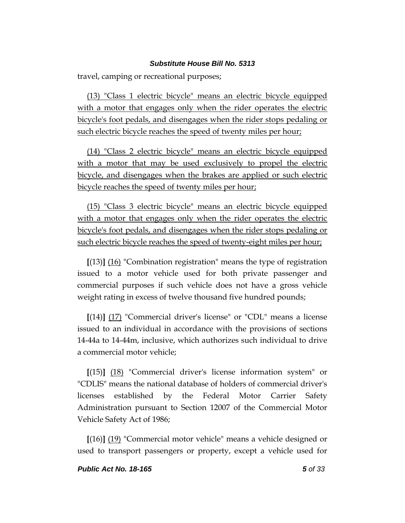travel, camping or recreational purposes;

(13) "Class 1 electric bicycle" means an electric bicycle equipped with a motor that engages only when the rider operates the electric bicycle's foot pedals, and disengages when the rider stops pedaling or such electric bicycle reaches the speed of twenty miles per hour;

(14) "Class 2 electric bicycle" means an electric bicycle equipped with a motor that may be used exclusively to propel the electric bicycle, and disengages when the brakes are applied or such electric bicycle reaches the speed of twenty miles per hour;

(15) "Class 3 electric bicycle" means an electric bicycle equipped with a motor that engages only when the rider operates the electric bicycle's foot pedals, and disengages when the rider stops pedaling or such electric bicycle reaches the speed of twenty-eight miles per hour;

**[**(13)**]** (16) "Combination registration" means the type of registration issued to a motor vehicle used for both private passenger and commercial purposes if such vehicle does not have a gross vehicle weight rating in excess of twelve thousand five hundred pounds;

**[**(14)**]** (17) "Commercial driver's license" or "CDL" means a license issued to an individual in accordance with the provisions of sections 14-44a to 14-44m, inclusive, which authorizes such individual to drive a commercial motor vehicle;

**[**(15)**]** (18) "Commercial driver's license information system" or "CDLIS" means the national database of holders of commercial driver's licenses established by the Federal Motor Carrier Safety Administration pursuant to Section 12007 of the Commercial Motor Vehicle Safety Act of 1986;

**[**(16)**]** (19) "Commercial motor vehicle" means a vehicle designed or used to transport passengers or property, except a vehicle used for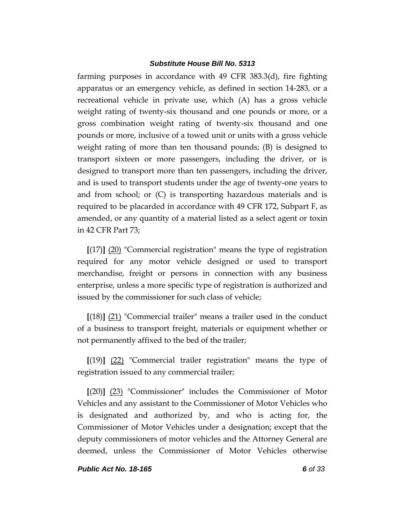farming purposes in accordance with 49 CFR 383.3(d), fire fighting apparatus or an emergency vehicle, as defined in section 14-283, or a recreational vehicle in private use, which (A) has a gross vehicle weight rating of twenty-six thousand and one pounds or more, or a gross combination weight rating of twenty-six thousand and one pounds or more, inclusive of a towed unit or units with a gross vehicle weight rating of more than ten thousand pounds; (B) is designed to transport sixteen or more passengers, including the driver, or is designed to transport more than ten passengers, including the driver, and is used to transport students under the age of twenty-one years to and from school; or (C) is transporting hazardous materials and is required to be placarded in accordance with 49 CFR 172, Subpart F, as amended, or any quantity of a material listed as a select agent or toxin in 42 CFR Part 73;

**[**(17)**]** (20) "Commercial registration" means the type of registration required for any motor vehicle designed or used to transport merchandise, freight or persons in connection with any business enterprise, unless a more specific type of registration is authorized and issued by the commissioner for such class of vehicle;

**[**(18)**]** (21) "Commercial trailer" means a trailer used in the conduct of a business to transport freight, materials or equipment whether or not permanently affixed to the bed of the trailer;

**[**(19)**]** (22) "Commercial trailer registration" means the type of registration issued to any commercial trailer;

**[**(20)**]** (23) "Commissioner" includes the Commissioner of Motor Vehicles and any assistant to the Commissioner of Motor Vehicles who is designated and authorized by, and who is acting for, the Commissioner of Motor Vehicles under a designation; except that the deputy commissioners of motor vehicles and the Attorney General are deemed, unless the Commissioner of Motor Vehicles otherwise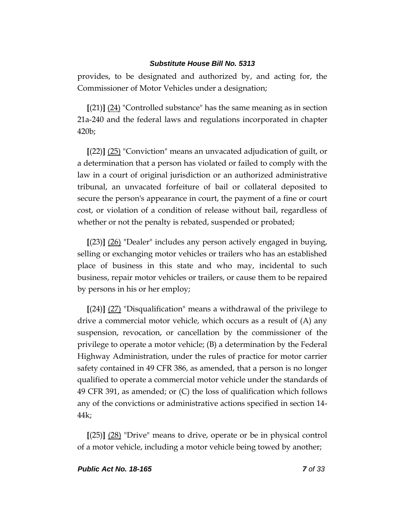provides, to be designated and authorized by, and acting for, the Commissioner of Motor Vehicles under a designation;

**[**(21)**]** (24) "Controlled substance" has the same meaning as in section 21a-240 and the federal laws and regulations incorporated in chapter 420b;

**[**(22)**]** (25) "Conviction" means an unvacated adjudication of guilt, or a determination that a person has violated or failed to comply with the law in a court of original jurisdiction or an authorized administrative tribunal, an unvacated forfeiture of bail or collateral deposited to secure the person's appearance in court, the payment of a fine or court cost, or violation of a condition of release without bail, regardless of whether or not the penalty is rebated, suspended or probated;

**[**(23)**]** (26) "Dealer" includes any person actively engaged in buying, selling or exchanging motor vehicles or trailers who has an established place of business in this state and who may, incidental to such business, repair motor vehicles or trailers, or cause them to be repaired by persons in his or her employ;

**[**(24)**]** (27) "Disqualification" means a withdrawal of the privilege to drive a commercial motor vehicle, which occurs as a result of (A) any suspension, revocation, or cancellation by the commissioner of the privilege to operate a motor vehicle; (B) a determination by the Federal Highway Administration, under the rules of practice for motor carrier safety contained in 49 CFR 386, as amended, that a person is no longer qualified to operate a commercial motor vehicle under the standards of 49 CFR 391, as amended; or (C) the loss of qualification which follows any of the convictions or administrative actions specified in section 14- 44k;

**[**(25)**]** (28) "Drive" means to drive, operate or be in physical control of a motor vehicle, including a motor vehicle being towed by another;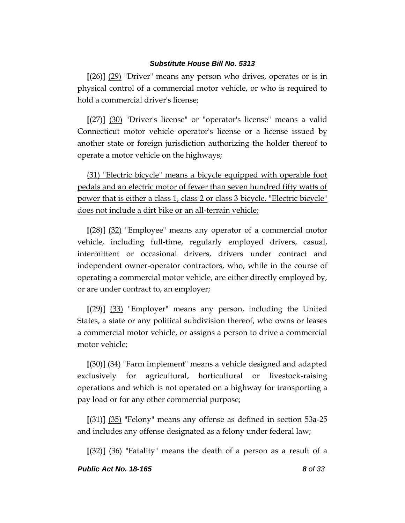**[**(26)**]** (29) "Driver" means any person who drives, operates or is in physical control of a commercial motor vehicle, or who is required to hold a commercial driver's license;

**[**(27)**]** (30) "Driver's license" or "operator's license" means a valid Connecticut motor vehicle operator's license or a license issued by another state or foreign jurisdiction authorizing the holder thereof to operate a motor vehicle on the highways;

(31) "Electric bicycle" means a bicycle equipped with operable foot pedals and an electric motor of fewer than seven hundred fifty watts of power that is either a class 1, class 2 or class 3 bicycle. "Electric bicycle" does not include a dirt bike or an all-terrain vehicle;

**[**(28)**]** (32) "Employee" means any operator of a commercial motor vehicle, including full-time, regularly employed drivers, casual, intermittent or occasional drivers, drivers under contract and independent owner-operator contractors, who, while in the course of operating a commercial motor vehicle, are either directly employed by, or are under contract to, an employer;

**[**(29)**]** (33) "Employer" means any person, including the United States, a state or any political subdivision thereof, who owns or leases a commercial motor vehicle, or assigns a person to drive a commercial motor vehicle;

**[**(30)**]** (34) "Farm implement" means a vehicle designed and adapted exclusively for agricultural, horticultural or livestock-raising operations and which is not operated on a highway for transporting a pay load or for any other commercial purpose;

**[**(31)**]** (35) "Felony" means any offense as defined in section 53a-25 and includes any offense designated as a felony under federal law;

**[**(32)**]** (36) "Fatality" means the death of a person as a result of a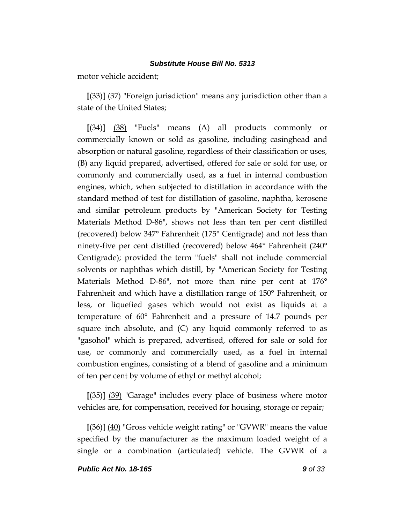motor vehicle accident;

**[**(33)**]** (37) "Foreign jurisdiction" means any jurisdiction other than a state of the United States;

**[**(34)**]** (38) "Fuels" means (A) all products commonly or commercially known or sold as gasoline, including casinghead and absorption or natural gasoline, regardless of their classification or uses, (B) any liquid prepared, advertised, offered for sale or sold for use, or commonly and commercially used, as a fuel in internal combustion engines, which, when subjected to distillation in accordance with the standard method of test for distillation of gasoline, naphtha, kerosene and similar petroleum products by "American Society for Testing Materials Method D-86", shows not less than ten per cent distilled (recovered) below 347° Fahrenheit (175° Centigrade) and not less than ninety-five per cent distilled (recovered) below 464° Fahrenheit (240° Centigrade); provided the term "fuels" shall not include commercial solvents or naphthas which distill, by "American Society for Testing Materials Method D-86", not more than nine per cent at 176° Fahrenheit and which have a distillation range of 150° Fahrenheit, or less, or liquefied gases which would not exist as liquids at a temperature of 60° Fahrenheit and a pressure of 14.7 pounds per square inch absolute, and (C) any liquid commonly referred to as "gasohol" which is prepared, advertised, offered for sale or sold for use, or commonly and commercially used, as a fuel in internal combustion engines, consisting of a blend of gasoline and a minimum of ten per cent by volume of ethyl or methyl alcohol;

**[**(35)**]** (39) "Garage" includes every place of business where motor vehicles are, for compensation, received for housing, storage or repair;

**[**(36)**]** (40) "Gross vehicle weight rating" or "GVWR" means the value specified by the manufacturer as the maximum loaded weight of a single or a combination (articulated) vehicle. The GVWR of a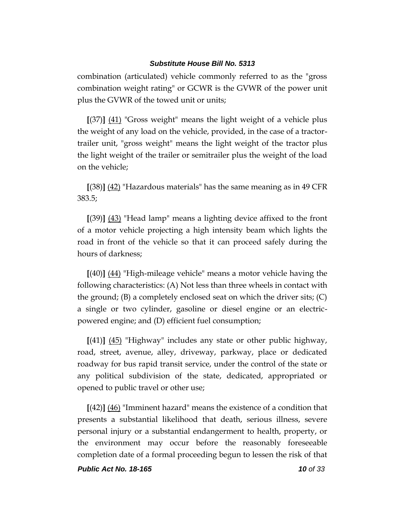combination (articulated) vehicle commonly referred to as the "gross combination weight rating" or GCWR is the GVWR of the power unit plus the GVWR of the towed unit or units;

**[**(37)**]** (41) "Gross weight" means the light weight of a vehicle plus the weight of any load on the vehicle, provided, in the case of a tractortrailer unit, "gross weight" means the light weight of the tractor plus the light weight of the trailer or semitrailer plus the weight of the load on the vehicle;

**[**(38)**]** (42) "Hazardous materials" has the same meaning as in 49 CFR 383.5;

**[**(39)**]** (43) "Head lamp" means a lighting device affixed to the front of a motor vehicle projecting a high intensity beam which lights the road in front of the vehicle so that it can proceed safely during the hours of darkness;

**[**(40)**]** (44) "High-mileage vehicle" means a motor vehicle having the following characteristics: (A) Not less than three wheels in contact with the ground; (B) a completely enclosed seat on which the driver sits; (C) a single or two cylinder, gasoline or diesel engine or an electricpowered engine; and (D) efficient fuel consumption;

**[**(41)**]** (45) "Highway" includes any state or other public highway, road, street, avenue, alley, driveway, parkway, place or dedicated roadway for bus rapid transit service, under the control of the state or any political subdivision of the state, dedicated, appropriated or opened to public travel or other use;

**[**(42)**]** (46) "Imminent hazard" means the existence of a condition that presents a substantial likelihood that death, serious illness, severe personal injury or a substantial endangerment to health, property, or the environment may occur before the reasonably foreseeable completion date of a formal proceeding begun to lessen the risk of that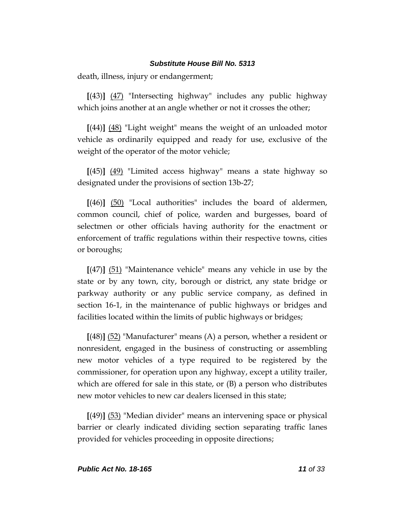death, illness, injury or endangerment;

**[**(43)**]** (47) "Intersecting highway" includes any public highway which joins another at an angle whether or not it crosses the other;

**[**(44)**]** (48) "Light weight" means the weight of an unloaded motor vehicle as ordinarily equipped and ready for use, exclusive of the weight of the operator of the motor vehicle;

**[**(45)**]** (49) "Limited access highway" means a state highway so designated under the provisions of section 13b-27;

**[**(46)**]** (50) "Local authorities" includes the board of aldermen, common council, chief of police, warden and burgesses, board of selectmen or other officials having authority for the enactment or enforcement of traffic regulations within their respective towns, cities or boroughs;

**[**(47)**]** (51) "Maintenance vehicle" means any vehicle in use by the state or by any town, city, borough or district, any state bridge or parkway authority or any public service company, as defined in section 16-1, in the maintenance of public highways or bridges and facilities located within the limits of public highways or bridges;

**[**(48)**]** (52) "Manufacturer" means (A) a person, whether a resident or nonresident, engaged in the business of constructing or assembling new motor vehicles of a type required to be registered by the commissioner, for operation upon any highway, except a utility trailer, which are offered for sale in this state, or (B) a person who distributes new motor vehicles to new car dealers licensed in this state;

**[**(49)**]** (53) "Median divider" means an intervening space or physical barrier or clearly indicated dividing section separating traffic lanes provided for vehicles proceeding in opposite directions;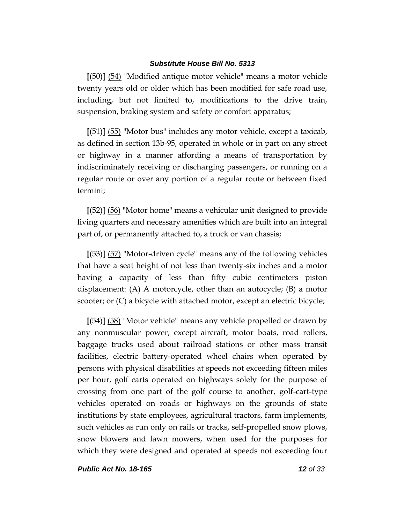**[**(50)**]** (54) "Modified antique motor vehicle" means a motor vehicle twenty years old or older which has been modified for safe road use, including, but not limited to, modifications to the drive train, suspension, braking system and safety or comfort apparatus;

**[**(51)**]** (55) "Motor bus" includes any motor vehicle, except a taxicab, as defined in section 13b-95, operated in whole or in part on any street or highway in a manner affording a means of transportation by indiscriminately receiving or discharging passengers, or running on a regular route or over any portion of a regular route or between fixed termini;

**[**(52)**]** (56) "Motor home" means a vehicular unit designed to provide living quarters and necessary amenities which are built into an integral part of, or permanently attached to, a truck or van chassis;

**[**(53)**]** (57) "Motor-driven cycle" means any of the following vehicles that have a seat height of not less than twenty-six inches and a motor having a capacity of less than fifty cubic centimeters piston displacement: (A) A motorcycle, other than an autocycle; (B) a motor scooter; or (C) a bicycle with attached motor, except an electric bicycle;

**[**(54)**]** (58) "Motor vehicle" means any vehicle propelled or drawn by any nonmuscular power, except aircraft, motor boats, road rollers, baggage trucks used about railroad stations or other mass transit facilities, electric battery-operated wheel chairs when operated by persons with physical disabilities at speeds not exceeding fifteen miles per hour, golf carts operated on highways solely for the purpose of crossing from one part of the golf course to another, golf-cart-type vehicles operated on roads or highways on the grounds of state institutions by state employees, agricultural tractors, farm implements, such vehicles as run only on rails or tracks, self-propelled snow plows, snow blowers and lawn mowers, when used for the purposes for which they were designed and operated at speeds not exceeding four

*Public Act No. 18-165 12 of 33*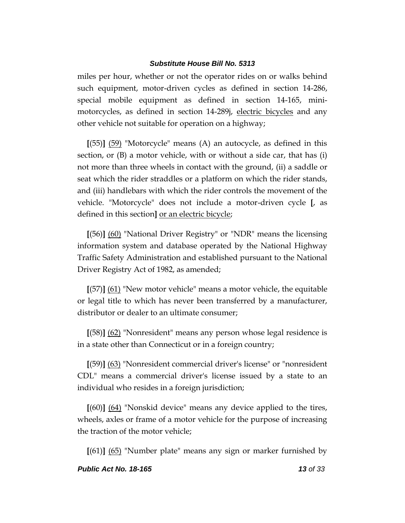miles per hour, whether or not the operator rides on or walks behind such equipment, motor-driven cycles as defined in section 14-286, special mobile equipment as defined in section 14-165, minimotorcycles, as defined in section 14-289; electric bicycles and any other vehicle not suitable for operation on a highway;

**[**(55)**]** (59) "Motorcycle" means (A) an autocycle, as defined in this section, or (B) a motor vehicle, with or without a side car, that has (i) not more than three wheels in contact with the ground, (ii) a saddle or seat which the rider straddles or a platform on which the rider stands, and (iii) handlebars with which the rider controls the movement of the vehicle. "Motorcycle" does not include a motor-driven cycle **[**, as defined in this section**]** or an electric bicycle;

**[**(56)**]** (60) "National Driver Registry" or "NDR" means the licensing information system and database operated by the National Highway Traffic Safety Administration and established pursuant to the National Driver Registry Act of 1982, as amended;

**[**(57)**]** (61) "New motor vehicle" means a motor vehicle, the equitable or legal title to which has never been transferred by a manufacturer, distributor or dealer to an ultimate consumer;

**[**(58)**]** (62) "Nonresident" means any person whose legal residence is in a state other than Connecticut or in a foreign country;

**[**(59)**]** (63) "Nonresident commercial driver's license" or "nonresident CDL" means a commercial driver's license issued by a state to an individual who resides in a foreign jurisdiction;

**[**(60)**]** (64) "Nonskid device" means any device applied to the tires, wheels, axles or frame of a motor vehicle for the purpose of increasing the traction of the motor vehicle;

**[**(61)**]** (65) "Number plate" means any sign or marker furnished by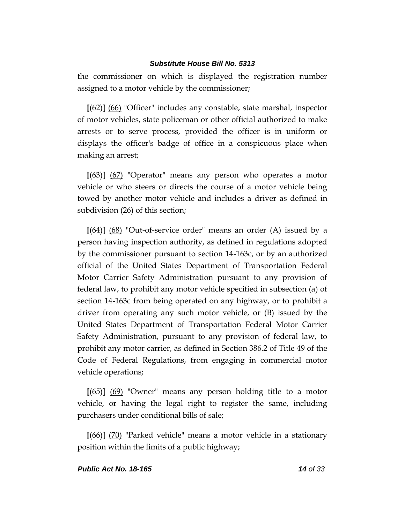the commissioner on which is displayed the registration number assigned to a motor vehicle by the commissioner;

**[**(62)**]** (66) "Officer" includes any constable, state marshal, inspector of motor vehicles, state policeman or other official authorized to make arrests or to serve process, provided the officer is in uniform or displays the officer's badge of office in a conspicuous place when making an arrest;

**[**(63)**]** (67) "Operator" means any person who operates a motor vehicle or who steers or directs the course of a motor vehicle being towed by another motor vehicle and includes a driver as defined in subdivision (26) of this section;

**[**(64)**]** (68) "Out-of-service order" means an order (A) issued by a person having inspection authority, as defined in regulations adopted by the commissioner pursuant to section 14-163c, or by an authorized official of the United States Department of Transportation Federal Motor Carrier Safety Administration pursuant to any provision of federal law, to prohibit any motor vehicle specified in subsection (a) of section 14-163c from being operated on any highway, or to prohibit a driver from operating any such motor vehicle, or (B) issued by the United States Department of Transportation Federal Motor Carrier Safety Administration, pursuant to any provision of federal law, to prohibit any motor carrier, as defined in Section 386.2 of Title 49 of the Code of Federal Regulations, from engaging in commercial motor vehicle operations;

**[**(65)**]** (69) "Owner" means any person holding title to a motor vehicle, or having the legal right to register the same, including purchasers under conditional bills of sale;

**[**(66)**]** (70) "Parked vehicle" means a motor vehicle in a stationary position within the limits of a public highway;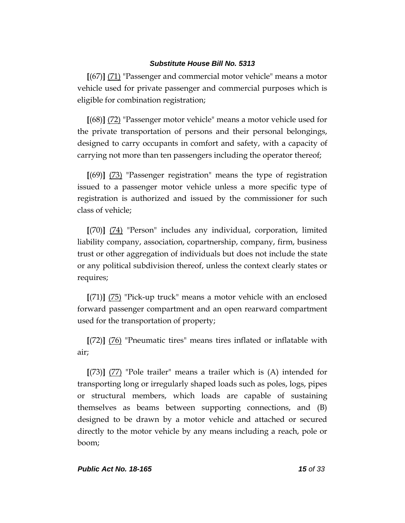**[**(67)**]** (71) "Passenger and commercial motor vehicle" means a motor vehicle used for private passenger and commercial purposes which is eligible for combination registration;

**[**(68)**]** (72) "Passenger motor vehicle" means a motor vehicle used for the private transportation of persons and their personal belongings, designed to carry occupants in comfort and safety, with a capacity of carrying not more than ten passengers including the operator thereof;

**[**(69)**]** (73) "Passenger registration" means the type of registration issued to a passenger motor vehicle unless a more specific type of registration is authorized and issued by the commissioner for such class of vehicle;

**[**(70)**]** (74) "Person" includes any individual, corporation, limited liability company, association, copartnership, company, firm, business trust or other aggregation of individuals but does not include the state or any political subdivision thereof, unless the context clearly states or requires;

**[**(71)**]** (75) "Pick-up truck" means a motor vehicle with an enclosed forward passenger compartment and an open rearward compartment used for the transportation of property;

**[**(72)**]** (76) "Pneumatic tires" means tires inflated or inflatable with air;

**[**(73)**]** (77) "Pole trailer" means a trailer which is (A) intended for transporting long or irregularly shaped loads such as poles, logs, pipes or structural members, which loads are capable of sustaining themselves as beams between supporting connections, and (B) designed to be drawn by a motor vehicle and attached or secured directly to the motor vehicle by any means including a reach, pole or boom;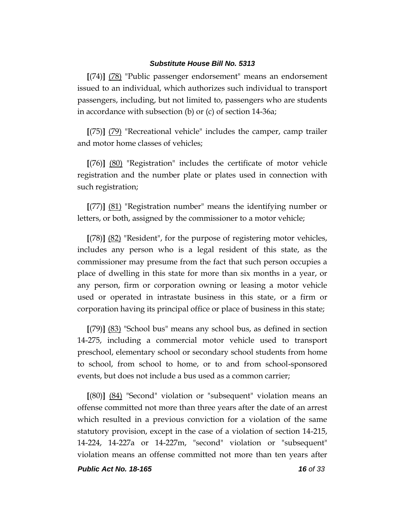**[**(74)**]** (78) "Public passenger endorsement" means an endorsement issued to an individual, which authorizes such individual to transport passengers, including, but not limited to, passengers who are students in accordance with subsection (b) or (c) of section 14-36a;

**[**(75)**]** (79) "Recreational vehicle" includes the camper, camp trailer and motor home classes of vehicles;

**[**(76)**]** (80) "Registration" includes the certificate of motor vehicle registration and the number plate or plates used in connection with such registration;

**[**(77)**]** (81) "Registration number" means the identifying number or letters, or both, assigned by the commissioner to a motor vehicle;

**[**(78)**]** (82) "Resident", for the purpose of registering motor vehicles, includes any person who is a legal resident of this state, as the commissioner may presume from the fact that such person occupies a place of dwelling in this state for more than six months in a year, or any person, firm or corporation owning or leasing a motor vehicle used or operated in intrastate business in this state, or a firm or corporation having its principal office or place of business in this state;

**[**(79)**]** (83) "School bus" means any school bus, as defined in section 14-275, including a commercial motor vehicle used to transport preschool, elementary school or secondary school students from home to school, from school to home, or to and from school-sponsored events, but does not include a bus used as a common carrier;

**[**(80)**]** (84) "Second" violation or "subsequent" violation means an offense committed not more than three years after the date of an arrest which resulted in a previous conviction for a violation of the same statutory provision, except in the case of a violation of section 14-215, 14-224, 14-227a or 14-227m, "second" violation or "subsequent" violation means an offense committed not more than ten years after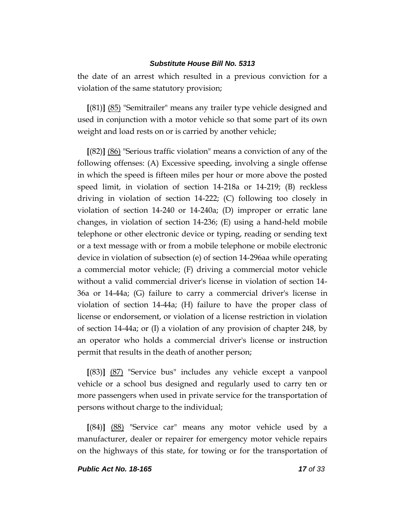the date of an arrest which resulted in a previous conviction for a violation of the same statutory provision;

**[**(81)**]** (85) "Semitrailer" means any trailer type vehicle designed and used in conjunction with a motor vehicle so that some part of its own weight and load rests on or is carried by another vehicle;

**[**(82)**]** (86) "Serious traffic violation" means a conviction of any of the following offenses: (A) Excessive speeding, involving a single offense in which the speed is fifteen miles per hour or more above the posted speed limit, in violation of section 14-218a or 14-219; (B) reckless driving in violation of section 14-222; (C) following too closely in violation of section 14-240 or 14-240a; (D) improper or erratic lane changes, in violation of section 14-236; (E) using a hand-held mobile telephone or other electronic device or typing, reading or sending text or a text message with or from a mobile telephone or mobile electronic device in violation of subsection (e) of section 14-296aa while operating a commercial motor vehicle; (F) driving a commercial motor vehicle without a valid commercial driver's license in violation of section 14- 36a or 14-44a; (G) failure to carry a commercial driver's license in violation of section 14-44a; (H) failure to have the proper class of license or endorsement, or violation of a license restriction in violation of section 14-44a; or (I) a violation of any provision of chapter 248, by an operator who holds a commercial driver's license or instruction permit that results in the death of another person;

**[**(83)**]** (87) "Service bus" includes any vehicle except a vanpool vehicle or a school bus designed and regularly used to carry ten or more passengers when used in private service for the transportation of persons without charge to the individual;

**[**(84)**]** (88) "Service car" means any motor vehicle used by a manufacturer, dealer or repairer for emergency motor vehicle repairs on the highways of this state, for towing or for the transportation of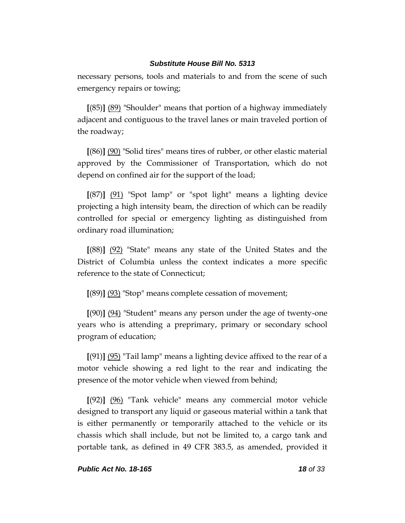necessary persons, tools and materials to and from the scene of such emergency repairs or towing;

**[**(85)**]** (89) "Shoulder" means that portion of a highway immediately adjacent and contiguous to the travel lanes or main traveled portion of the roadway;

**[**(86)**]** (90) "Solid tires" means tires of rubber, or other elastic material approved by the Commissioner of Transportation, which do not depend on confined air for the support of the load;

**[**(87)**]** (91) "Spot lamp" or "spot light" means a lighting device projecting a high intensity beam, the direction of which can be readily controlled for special or emergency lighting as distinguished from ordinary road illumination;

**[**(88)**]** (92) "State" means any state of the United States and the District of Columbia unless the context indicates a more specific reference to the state of Connecticut;

**[**(89)**]** (93) "Stop" means complete cessation of movement;

**[**(90)**]** (94) "Student" means any person under the age of twenty-one years who is attending a preprimary, primary or secondary school program of education;

**[**(91)**]** (95) "Tail lamp" means a lighting device affixed to the rear of a motor vehicle showing a red light to the rear and indicating the presence of the motor vehicle when viewed from behind;

**[**(92)**]** (96) "Tank vehicle" means any commercial motor vehicle designed to transport any liquid or gaseous material within a tank that is either permanently or temporarily attached to the vehicle or its chassis which shall include, but not be limited to, a cargo tank and portable tank, as defined in 49 CFR 383.5, as amended, provided it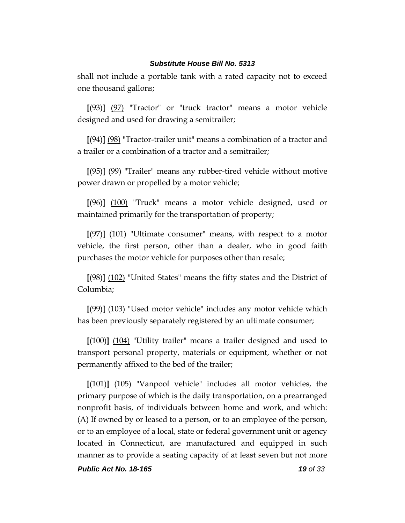shall not include a portable tank with a rated capacity not to exceed one thousand gallons;

**[**(93)**]** (97) "Tractor" or "truck tractor" means a motor vehicle designed and used for drawing a semitrailer;

**[**(94)**]** (98) "Tractor-trailer unit" means a combination of a tractor and a trailer or a combination of a tractor and a semitrailer;

**[**(95)**]** (99) "Trailer" means any rubber-tired vehicle without motive power drawn or propelled by a motor vehicle;

**[**(96)**]** (100) "Truck" means a motor vehicle designed, used or maintained primarily for the transportation of property;

**[**(97)**]** (101) "Ultimate consumer" means, with respect to a motor vehicle, the first person, other than a dealer, who in good faith purchases the motor vehicle for purposes other than resale;

**[**(98)**]** (102) "United States" means the fifty states and the District of Columbia;

**[**(99)**]** (103) "Used motor vehicle" includes any motor vehicle which has been previously separately registered by an ultimate consumer;

**[**(100)**]** (104) "Utility trailer" means a trailer designed and used to transport personal property, materials or equipment, whether or not permanently affixed to the bed of the trailer;

**[**(101)**]** (105) "Vanpool vehicle" includes all motor vehicles, the primary purpose of which is the daily transportation, on a prearranged nonprofit basis, of individuals between home and work, and which: (A) If owned by or leased to a person, or to an employee of the person, or to an employee of a local, state or federal government unit or agency located in Connecticut, are manufactured and equipped in such manner as to provide a seating capacity of at least seven but not more

*Public Act No. 18-165 19 of 33*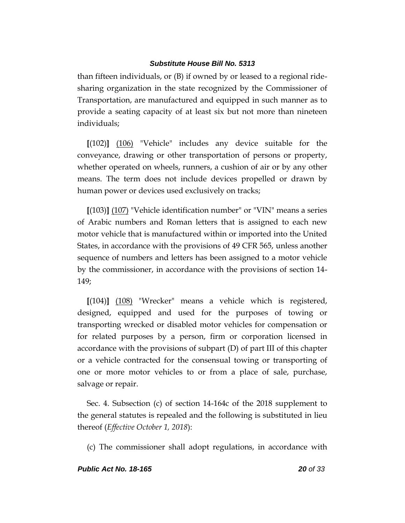than fifteen individuals, or (B) if owned by or leased to a regional ridesharing organization in the state recognized by the Commissioner of Transportation, are manufactured and equipped in such manner as to provide a seating capacity of at least six but not more than nineteen individuals;

**[**(102)**]** (106) "Vehicle" includes any device suitable for the conveyance, drawing or other transportation of persons or property, whether operated on wheels, runners, a cushion of air or by any other means. The term does not include devices propelled or drawn by human power or devices used exclusively on tracks;

**[**(103)**]** (107) "Vehicle identification number" or "VIN" means a series of Arabic numbers and Roman letters that is assigned to each new motor vehicle that is manufactured within or imported into the United States, in accordance with the provisions of 49 CFR 565, unless another sequence of numbers and letters has been assigned to a motor vehicle by the commissioner, in accordance with the provisions of section 14- 149;

**[**(104)**]** (108) "Wrecker" means a vehicle which is registered, designed, equipped and used for the purposes of towing or transporting wrecked or disabled motor vehicles for compensation or for related purposes by a person, firm or corporation licensed in accordance with the provisions of subpart (D) of part III of this chapter or a vehicle contracted for the consensual towing or transporting of one or more motor vehicles to or from a place of sale, purchase, salvage or repair.

Sec. 4. Subsection (c) of section 14-164c of the 2018 supplement to the general statutes is repealed and the following is substituted in lieu thereof (*Effective October 1, 2018*):

(c) The commissioner shall adopt regulations, in accordance with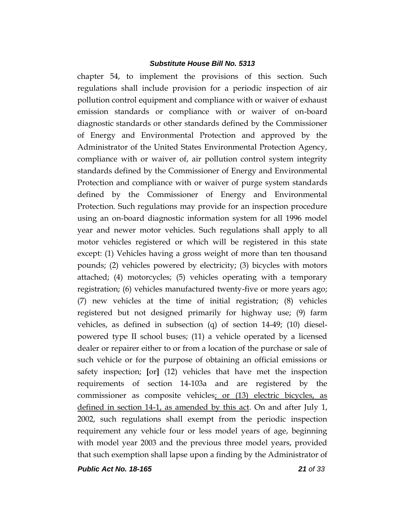chapter 54, to implement the provisions of this section. Such regulations shall include provision for a periodic inspection of air pollution control equipment and compliance with or waiver of exhaust emission standards or compliance with or waiver of on-board diagnostic standards or other standards defined by the Commissioner of Energy and Environmental Protection and approved by the Administrator of the United States Environmental Protection Agency, compliance with or waiver of, air pollution control system integrity standards defined by the Commissioner of Energy and Environmental Protection and compliance with or waiver of purge system standards defined by the Commissioner of Energy and Environmental Protection. Such regulations may provide for an inspection procedure using an on-board diagnostic information system for all 1996 model year and newer motor vehicles. Such regulations shall apply to all motor vehicles registered or which will be registered in this state except: (1) Vehicles having a gross weight of more than ten thousand pounds; (2) vehicles powered by electricity; (3) bicycles with motors attached; (4) motorcycles; (5) vehicles operating with a temporary registration; (6) vehicles manufactured twenty-five or more years ago; (7) new vehicles at the time of initial registration; (8) vehicles registered but not designed primarily for highway use; (9) farm vehicles, as defined in subsection (q) of section 14-49; (10) dieselpowered type II school buses; (11) a vehicle operated by a licensed dealer or repairer either to or from a location of the purchase or sale of such vehicle or for the purpose of obtaining an official emissions or safety inspection; **[**or**]** (12) vehicles that have met the inspection requirements of section 14-103a and are registered by the commissioner as composite vehicles; or (13) electric bicycles, as defined in section 14-1, as amended by this act. On and after July 1, 2002, such regulations shall exempt from the periodic inspection requirement any vehicle four or less model years of age, beginning with model year 2003 and the previous three model years, provided that such exemption shall lapse upon a finding by the Administrator of

*Public Act No. 18-165 21 of 33*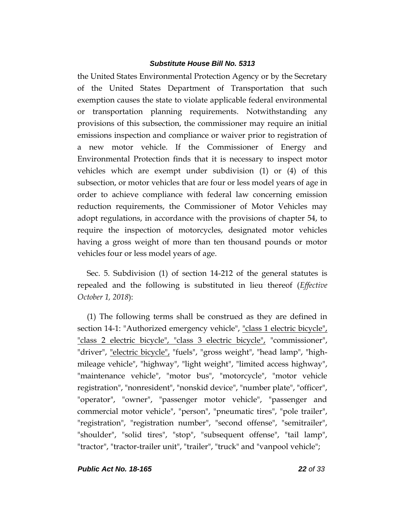the United States Environmental Protection Agency or by the Secretary of the United States Department of Transportation that such exemption causes the state to violate applicable federal environmental or transportation planning requirements. Notwithstanding any provisions of this subsection, the commissioner may require an initial emissions inspection and compliance or waiver prior to registration of a new motor vehicle. If the Commissioner of Energy and Environmental Protection finds that it is necessary to inspect motor vehicles which are exempt under subdivision (1) or (4) of this subsection, or motor vehicles that are four or less model years of age in order to achieve compliance with federal law concerning emission reduction requirements, the Commissioner of Motor Vehicles may adopt regulations, in accordance with the provisions of chapter 54, to require the inspection of motorcycles, designated motor vehicles having a gross weight of more than ten thousand pounds or motor vehicles four or less model years of age.

Sec. 5. Subdivision (1) of section 14-212 of the general statutes is repealed and the following is substituted in lieu thereof (*Effective October 1, 2018*):

(1) The following terms shall be construed as they are defined in section 14-1: "Authorized emergency vehicle", "class 1 electric bicycle", "class 2 electric bicycle", "class 3 electric bicycle", "commissioner", "driver", "electric bicycle", "fuels", "gross weight", "head lamp", "highmileage vehicle", "highway", "light weight", "limited access highway", "maintenance vehicle", "motor bus", "motorcycle", "motor vehicle registration", "nonresident", "nonskid device", "number plate", "officer", "operator", "owner", "passenger motor vehicle", "passenger and commercial motor vehicle", "person", "pneumatic tires", "pole trailer", "registration", "registration number", "second offense", "semitrailer", "shoulder", "solid tires", "stop", "subsequent offense", "tail lamp", "tractor", "tractor-trailer unit", "trailer", "truck" and "vanpool vehicle";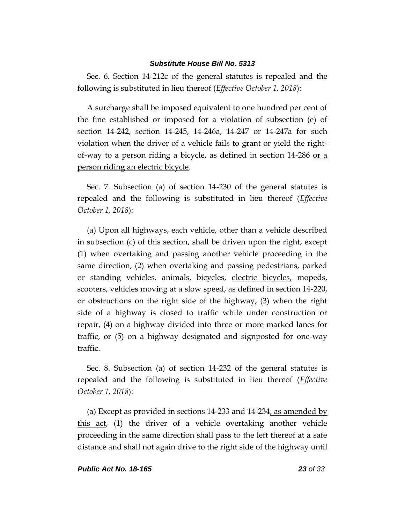Sec. 6. Section 14-212c of the general statutes is repealed and the following is substituted in lieu thereof (*Effective October 1, 2018*):

A surcharge shall be imposed equivalent to one hundred per cent of the fine established or imposed for a violation of subsection (e) of section 14-242, section 14-245, 14-246a, 14-247 or 14-247a for such violation when the driver of a vehicle fails to grant or yield the rightof-way to a person riding a bicycle, as defined in section 14-286 or a person riding an electric bicycle.

Sec. 7. Subsection (a) of section 14-230 of the general statutes is repealed and the following is substituted in lieu thereof (*Effective October 1, 2018*):

(a) Upon all highways, each vehicle, other than a vehicle described in subsection (c) of this section, shall be driven upon the right, except (1) when overtaking and passing another vehicle proceeding in the same direction, (2) when overtaking and passing pedestrians, parked or standing vehicles, animals, bicycles, electric bicycles, mopeds, scooters, vehicles moving at a slow speed, as defined in section 14-220, or obstructions on the right side of the highway, (3) when the right side of a highway is closed to traffic while under construction or repair, (4) on a highway divided into three or more marked lanes for traffic, or (5) on a highway designated and signposted for one-way traffic.

Sec. 8. Subsection (a) of section 14-232 of the general statutes is repealed and the following is substituted in lieu thereof (*Effective October 1, 2018*):

(a) Except as provided in sections 14-233 and 14-234, as amended by this act, (1) the driver of a vehicle overtaking another vehicle proceeding in the same direction shall pass to the left thereof at a safe distance and shall not again drive to the right side of the highway until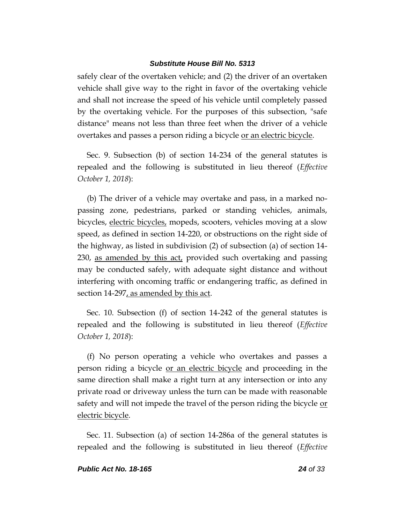safely clear of the overtaken vehicle; and (2) the driver of an overtaken vehicle shall give way to the right in favor of the overtaking vehicle and shall not increase the speed of his vehicle until completely passed by the overtaking vehicle. For the purposes of this subsection, "safe distance" means not less than three feet when the driver of a vehicle overtakes and passes a person riding a bicycle or an electric bicycle.

Sec. 9. Subsection (b) of section 14-234 of the general statutes is repealed and the following is substituted in lieu thereof (*Effective October 1, 2018*):

(b) The driver of a vehicle may overtake and pass, in a marked nopassing zone, pedestrians, parked or standing vehicles, animals, bicycles, electric bicycles, mopeds, scooters, vehicles moving at a slow speed, as defined in section 14-220, or obstructions on the right side of the highway, as listed in subdivision (2) of subsection (a) of section 14- 230, as amended by this act, provided such overtaking and passing may be conducted safely, with adequate sight distance and without interfering with oncoming traffic or endangering traffic, as defined in section 14-297, as amended by this act.

Sec. 10. Subsection (f) of section 14-242 of the general statutes is repealed and the following is substituted in lieu thereof (*Effective October 1, 2018*):

(f) No person operating a vehicle who overtakes and passes a person riding a bicycle or an electric bicycle and proceeding in the same direction shall make a right turn at any intersection or into any private road or driveway unless the turn can be made with reasonable safety and will not impede the travel of the person riding the bicycle or electric bicycle.

Sec. 11. Subsection (a) of section 14-286a of the general statutes is repealed and the following is substituted in lieu thereof (*Effective*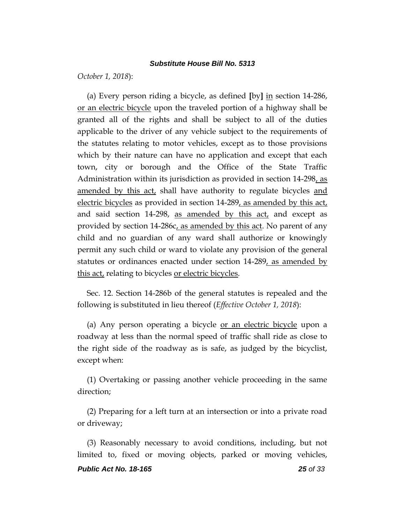*October 1, 2018*):

(a) Every person riding a bicycle, as defined **[**by**]** in section 14-286, or an electric bicycle upon the traveled portion of a highway shall be granted all of the rights and shall be subject to all of the duties applicable to the driver of any vehicle subject to the requirements of the statutes relating to motor vehicles, except as to those provisions which by their nature can have no application and except that each town, city or borough and the Office of the State Traffic Administration within its jurisdiction as provided in section 14-298, as amended by this act, shall have authority to regulate bicycles and electric bicycles as provided in section 14-289, as amended by this act, and said section 14-298, as amended by this act, and except as provided by section 14-286c, as amended by this act. No parent of any child and no guardian of any ward shall authorize or knowingly permit any such child or ward to violate any provision of the general statutes or ordinances enacted under section 14-289, as amended by this act, relating to bicycles <u>or electric bicycles</u>.

Sec. 12. Section 14-286b of the general statutes is repealed and the following is substituted in lieu thereof (*Effective October 1, 2018*):

(a) Any person operating a bicycle or an electric bicycle upon a roadway at less than the normal speed of traffic shall ride as close to the right side of the roadway as is safe, as judged by the bicyclist, except when:

(1) Overtaking or passing another vehicle proceeding in the same direction;

(2) Preparing for a left turn at an intersection or into a private road or driveway;

(3) Reasonably necessary to avoid conditions, including, but not limited to, fixed or moving objects, parked or moving vehicles,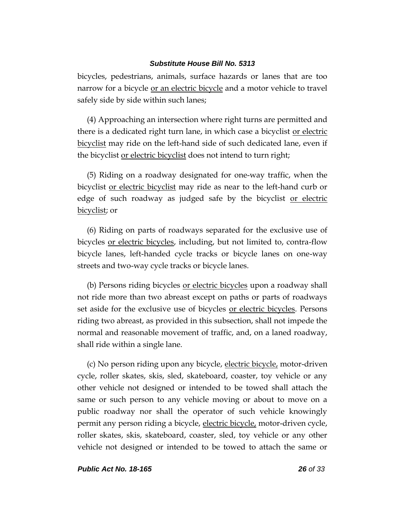bicycles, pedestrians, animals, surface hazards or lanes that are too narrow for a bicycle or an electric bicycle and a motor vehicle to travel safely side by side within such lanes;

(4) Approaching an intersection where right turns are permitted and there is a dedicated right turn lane, in which case a bicyclist or electric bicyclist may ride on the left-hand side of such dedicated lane, even if the bicyclist or electric bicyclist does not intend to turn right;

(5) Riding on a roadway designated for one-way traffic, when the bicyclist or electric bicyclist may ride as near to the left-hand curb or edge of such roadway as judged safe by the bicyclist <u>or electric</u> bicyclist; or

(6) Riding on parts of roadways separated for the exclusive use of bicycles <u>or electric bicycles</u>, including, but not limited to, contra-flow bicycle lanes, left-handed cycle tracks or bicycle lanes on one-way streets and two-way cycle tracks or bicycle lanes.

(b) Persons riding bicycles or electric bicycles upon a roadway shall not ride more than two abreast except on paths or parts of roadways set aside for the exclusive use of bicycles or electric bicycles. Persons riding two abreast, as provided in this subsection, shall not impede the normal and reasonable movement of traffic, and, on a laned roadway, shall ride within a single lane.

(c) No person riding upon any bicycle, electric bicycle, motor-driven cycle, roller skates, skis, sled, skateboard, coaster, toy vehicle or any other vehicle not designed or intended to be towed shall attach the same or such person to any vehicle moving or about to move on a public roadway nor shall the operator of such vehicle knowingly permit any person riding a bicycle, electric bicycle, motor-driven cycle, roller skates, skis, skateboard, coaster, sled, toy vehicle or any other vehicle not designed or intended to be towed to attach the same or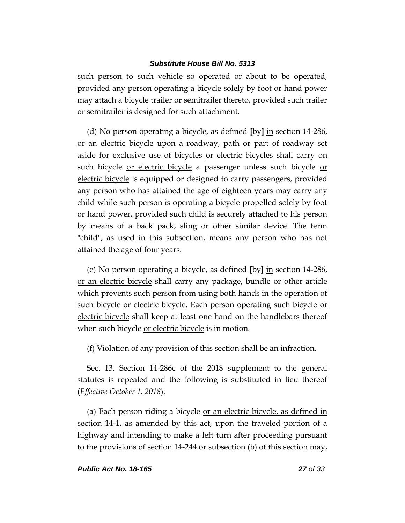such person to such vehicle so operated or about to be operated, provided any person operating a bicycle solely by foot or hand power may attach a bicycle trailer or semitrailer thereto, provided such trailer or semitrailer is designed for such attachment.

(d) No person operating a bicycle, as defined **[**by**]** in section 14-286, or an electric bicycle upon a roadway, path or part of roadway set aside for exclusive use of bicycles or electric bicycles shall carry on such bicycle <u>or electric bicycle</u> a passenger unless such bicycle or electric bicycle is equipped or designed to carry passengers, provided any person who has attained the age of eighteen years may carry any child while such person is operating a bicycle propelled solely by foot or hand power, provided such child is securely attached to his person by means of a back pack, sling or other similar device. The term "child", as used in this subsection, means any person who has not attained the age of four years.

(e) No person operating a bicycle, as defined **[**by**]** in section 14-286, or an electric bicycle shall carry any package, bundle or other article which prevents such person from using both hands in the operation of such bicycle or electric bicycle. Each person operating such bicycle or electric bicycle shall keep at least one hand on the handlebars thereof when such bicycle <u>or electric bicycle</u> is in motion.

(f) Violation of any provision of this section shall be an infraction.

Sec. 13. Section 14-286c of the 2018 supplement to the general statutes is repealed and the following is substituted in lieu thereof (*Effective October 1, 2018*):

(a) Each person riding a bicycle or an electric bicycle, as defined in section 14-1, as amended by this act, upon the traveled portion of a highway and intending to make a left turn after proceeding pursuant to the provisions of section 14-244 or subsection (b) of this section may,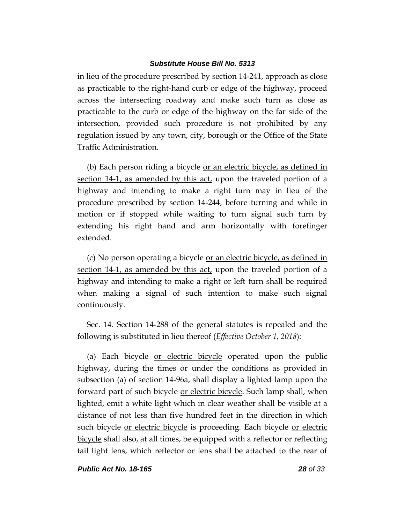in lieu of the procedure prescribed by section 14-241, approach as close as practicable to the right-hand curb or edge of the highway, proceed across the intersecting roadway and make such turn as close as practicable to the curb or edge of the highway on the far side of the intersection, provided such procedure is not prohibited by any regulation issued by any town, city, borough or the Office of the State Traffic Administration.

(b) Each person riding a bicycle or an electric bicycle, as defined in section 14-1, as amended by this act, upon the traveled portion of a highway and intending to make a right turn may in lieu of the procedure prescribed by section 14-244, before turning and while in motion or if stopped while waiting to turn signal such turn by extending his right hand and arm horizontally with forefinger extended.

(c) No person operating a bicycle or an electric bicycle, as defined in section 14-1, as amended by this act, upon the traveled portion of a highway and intending to make a right or left turn shall be required when making a signal of such intention to make such signal continuously.

Sec. 14. Section 14-288 of the general statutes is repealed and the following is substituted in lieu thereof (*Effective October 1, 2018*):

(a) Each bicycle or electric bicycle operated upon the public highway, during the times or under the conditions as provided in subsection (a) of section 14-96a, shall display a lighted lamp upon the forward part of such bicycle <u>or electric bicycle</u>. Such lamp shall, when lighted, emit a white light which in clear weather shall be visible at a distance of not less than five hundred feet in the direction in which such bicycle <u>or electric bicycle</u> is proceeding. Each bicycle <u>or electric</u> bicycle shall also, at all times, be equipped with a reflector or reflecting tail light lens, which reflector or lens shall be attached to the rear of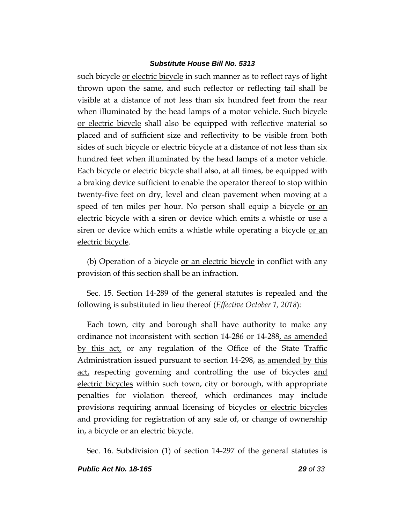such bicycle or electric bicycle in such manner as to reflect rays of light thrown upon the same, and such reflector or reflecting tail shall be visible at a distance of not less than six hundred feet from the rear when illuminated by the head lamps of a motor vehicle. Such bicycle or electric bicycle shall also be equipped with reflective material so placed and of sufficient size and reflectivity to be visible from both sides of such bicycle <u>or electric bicycle</u> at a distance of not less than six hundred feet when illuminated by the head lamps of a motor vehicle. Each bicycle or electric bicycle shall also, at all times, be equipped with a braking device sufficient to enable the operator thereof to stop within twenty-five feet on dry, level and clean pavement when moving at a speed of ten miles per hour. No person shall equip a bicycle or an electric bicycle with a siren or device which emits a whistle or use a siren or device which emits a whistle while operating a bicycle <u>or an</u> electric bicycle.

(b) Operation of a bicycle or an electric bicycle in conflict with any provision of this section shall be an infraction.

Sec. 15. Section 14-289 of the general statutes is repealed and the following is substituted in lieu thereof (*Effective October 1, 2018*):

Each town, city and borough shall have authority to make any ordinance not inconsistent with section 14-286 or 14-288, as amended by this act, or any regulation of the Office of the State Traffic Administration issued pursuant to section 14-298, as amended by this act, respecting governing and controlling the use of bicycles and electric bicycles within such town, city or borough, with appropriate penalties for violation thereof, which ordinances may include provisions requiring annual licensing of bicycles or electric bicycles and providing for registration of any sale of, or change of ownership in, a bicycle or an electric bicycle.

Sec. 16. Subdivision (1) of section 14-297 of the general statutes is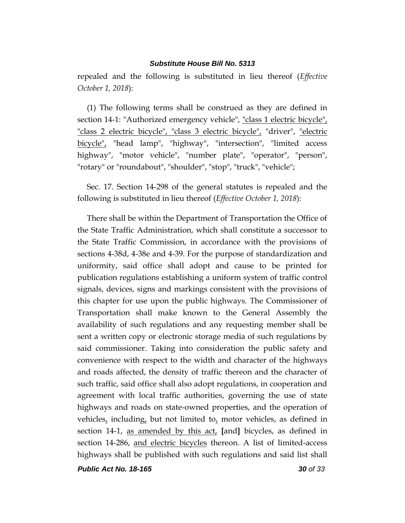repealed and the following is substituted in lieu thereof (*Effective October 1, 2018*):

(1) The following terms shall be construed as they are defined in section 14-1: "Authorized emergency vehicle", "class 1 electric bicycle", "class 2 electric bicycle", "class 3 electric bicycle", "driver", "electric bicycle", "head lamp", "highway", "intersection", "limited access highway", "motor vehicle", "number plate", "operator", "person", "rotary" or "roundabout", "shoulder", "stop", "truck", "vehicle";

Sec. 17. Section 14-298 of the general statutes is repealed and the following is substituted in lieu thereof (*Effective October 1, 2018*):

There shall be within the Department of Transportation the Office of the State Traffic Administration, which shall constitute a successor to the State Traffic Commission, in accordance with the provisions of sections 4-38d, 4-38e and 4-39. For the purpose of standardization and uniformity, said office shall adopt and cause to be printed for publication regulations establishing a uniform system of traffic control signals, devices, signs and markings consistent with the provisions of this chapter for use upon the public highways. The Commissioner of Transportation shall make known to the General Assembly the availability of such regulations and any requesting member shall be sent a written copy or electronic storage media of such regulations by said commissioner. Taking into consideration the public safety and convenience with respect to the width and character of the highways and roads affected, the density of traffic thereon and the character of such traffic, said office shall also adopt regulations, in cooperation and agreement with local traffic authorities, governing the use of state highways and roads on state-owned properties, and the operation of vehicles, including, but not limited to, motor vehicles, as defined in section 14-1, as amended by this act, **[**and**]** bicycles, as defined in section 14-286, and electric bicycles thereon. A list of limited-access highways shall be published with such regulations and said list shall

*Public Act No. 18-165 30 of 33*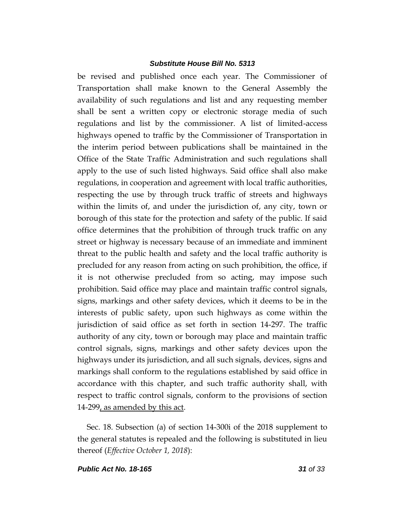be revised and published once each year. The Commissioner of Transportation shall make known to the General Assembly the availability of such regulations and list and any requesting member shall be sent a written copy or electronic storage media of such regulations and list by the commissioner. A list of limited-access highways opened to traffic by the Commissioner of Transportation in the interim period between publications shall be maintained in the Office of the State Traffic Administration and such regulations shall apply to the use of such listed highways. Said office shall also make regulations, in cooperation and agreement with local traffic authorities, respecting the use by through truck traffic of streets and highways within the limits of, and under the jurisdiction of, any city, town or borough of this state for the protection and safety of the public. If said office determines that the prohibition of through truck traffic on any street or highway is necessary because of an immediate and imminent threat to the public health and safety and the local traffic authority is precluded for any reason from acting on such prohibition, the office, if it is not otherwise precluded from so acting, may impose such prohibition. Said office may place and maintain traffic control signals, signs, markings and other safety devices, which it deems to be in the interests of public safety, upon such highways as come within the jurisdiction of said office as set forth in section 14-297. The traffic authority of any city, town or borough may place and maintain traffic control signals, signs, markings and other safety devices upon the highways under its jurisdiction, and all such signals, devices, signs and markings shall conform to the regulations established by said office in accordance with this chapter, and such traffic authority shall, with respect to traffic control signals, conform to the provisions of section 14-299, as amended by this act.

Sec. 18. Subsection (a) of section 14-300i of the 2018 supplement to the general statutes is repealed and the following is substituted in lieu thereof (*Effective October 1, 2018*):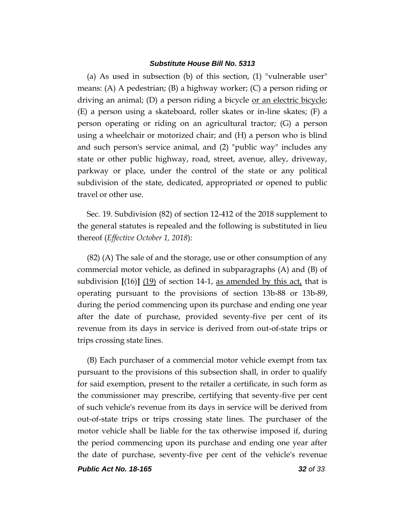(a) As used in subsection (b) of this section, (1) "vulnerable user" means: (A) A pedestrian; (B) a highway worker; (C) a person riding or driving an animal; (D) a person riding a bicycle <u>or an electric bicycle</u>; (E) a person using a skateboard, roller skates or in-line skates; (F) a person operating or riding on an agricultural tractor; (G) a person using a wheelchair or motorized chair; and (H) a person who is blind and such person's service animal, and (2) "public way" includes any state or other public highway, road, street, avenue, alley, driveway, parkway or place, under the control of the state or any political subdivision of the state, dedicated, appropriated or opened to public travel or other use.

Sec. 19. Subdivision (82) of section 12-412 of the 2018 supplement to the general statutes is repealed and the following is substituted in lieu thereof (*Effective October 1, 2018*):

(82) (A) The sale of and the storage, use or other consumption of any commercial motor vehicle, as defined in subparagraphs (A) and (B) of subdivision **[**(16)**]** (19) of section 14-1, as amended by this act, that is operating pursuant to the provisions of section 13b-88 or 13b-89, during the period commencing upon its purchase and ending one year after the date of purchase, provided seventy-five per cent of its revenue from its days in service is derived from out-of-state trips or trips crossing state lines.

(B) Each purchaser of a commercial motor vehicle exempt from tax pursuant to the provisions of this subsection shall, in order to qualify for said exemption, present to the retailer a certificate, in such form as the commissioner may prescribe, certifying that seventy-five per cent of such vehicle's revenue from its days in service will be derived from out-of-state trips or trips crossing state lines. The purchaser of the motor vehicle shall be liable for the tax otherwise imposed if, during the period commencing upon its purchase and ending one year after the date of purchase, seventy-five per cent of the vehicle's revenue

*Public Act No. 18-165 32 of 33*